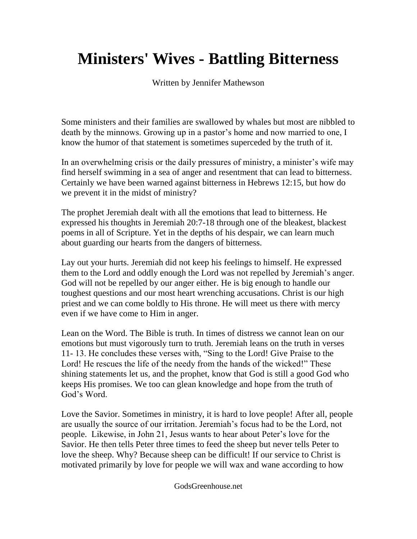## **Ministers' Wives - Battling Bitterness**

Written by Jennifer Mathewson

Some ministers and their families are swallowed by whales but most are nibbled to death by the minnows. Growing up in a pastor's home and now married to one, I know the humor of that statement is sometimes superceded by the truth of it.

In an overwhelming crisis or the daily pressures of ministry, a minister's wife may find herself swimming in a sea of anger and resentment that can lead to bitterness. Certainly we have been warned against bitterness in Hebrews 12:15, but how do we prevent it in the midst of ministry?

The prophet Jeremiah dealt with all the emotions that lead to bitterness. He expressed his thoughts in Jeremiah 20:7-18 through one of the bleakest, blackest poems in all of Scripture. Yet in the depths of his despair, we can learn much about guarding our hearts from the dangers of bitterness.

Lay out your hurts. Jeremiah did not keep his feelings to himself. He expressed them to the Lord and oddly enough the Lord was not repelled by Jeremiah's anger. God will not be repelled by our anger either. He is big enough to handle our toughest questions and our most heart wrenching accusations. Christ is our high priest and we can come boldly to His throne. He will meet us there with mercy even if we have come to Him in anger.

Lean on the Word. The Bible is truth. In times of distress we cannot lean on our emotions but must vigorously turn to truth. Jeremiah leans on the truth in verses 11- 13. He concludes these verses with, "Sing to the Lord! Give Praise to the Lord! He rescues the life of the needy from the hands of the wicked!" These shining statements let us, and the prophet, know that God is still a good God who keeps His promises. We too can glean knowledge and hope from the truth of God's Word.

Love the Savior. Sometimes in ministry, it is hard to love people! After all, people are usually the source of our irritation. Jeremiah's focus had to be the Lord, not people. Likewise, in John 21, Jesus wants to hear about Peter's love for the Savior. He then tells Peter three times to feed the sheep but never tells Peter to love the sheep. Why? Because sheep can be difficult! If our service to Christ is motivated primarily by love for people we will wax and wane according to how